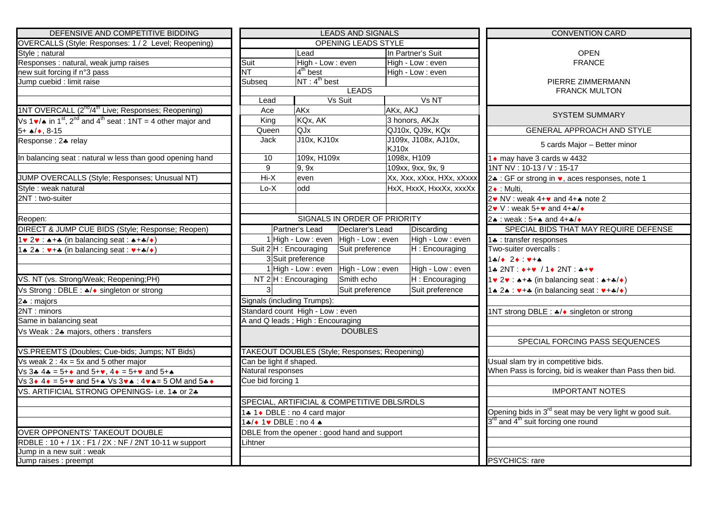| DEFENSIVE AND COMPETITIVE BIDDING                                                                                                   | <b>LEADS AND SIGNALS</b>                                              |                                    |                                               |                                                            | <b>CONVENTION CARD</b>                                              |  |
|-------------------------------------------------------------------------------------------------------------------------------------|-----------------------------------------------------------------------|------------------------------------|-----------------------------------------------|------------------------------------------------------------|---------------------------------------------------------------------|--|
| OVERCALLS (Style: Responses: 1 / 2 Level; Reopening)                                                                                |                                                                       |                                    | <b>OPENING LEADS STYLE</b>                    |                                                            |                                                                     |  |
| Style ; natural                                                                                                                     | Lead                                                                  |                                    |                                               | In Partner's Suit                                          | <b>OPEN</b>                                                         |  |
| Responses : natural, weak jump raises                                                                                               | Suit                                                                  | High - Low : even                  |                                               | High - Low : even                                          | <b>FRANCE</b>                                                       |  |
| new suit forcing if n°3 pass                                                                                                        | $4th$ best<br>NT                                                      |                                    |                                               | High - Low : even                                          |                                                                     |  |
| Jump cuebid : limit raise                                                                                                           |                                                                       | NT: 4 <sup>th</sup> best<br>Subseq |                                               |                                                            | PIERRE ZIMMERMANN                                                   |  |
|                                                                                                                                     |                                                                       |                                    | <b>LEADS</b>                                  |                                                            | <b>FRANCK MULTON</b>                                                |  |
|                                                                                                                                     | Lead                                                                  |                                    | Vs Suit                                       | Vs NT                                                      |                                                                     |  |
| 1NT OVERCALL (2 <sup>nd</sup> /4 <sup>th</sup> Live; Responses; Reopening)                                                          | Ace                                                                   | AKx                                |                                               | AKx, AKJ                                                   | <b>SYSTEM SUMMARY</b>                                               |  |
| Vs 1 $\mathbf{v}/\mathbf{A}$ in 1 <sup>st</sup> , 2 <sup>nd</sup> and 4 <sup>th</sup> seat : 1NT = 4 other major and                | King                                                                  | KQx, AK                            |                                               | 3 honors, AKJx                                             |                                                                     |  |
| $5 + \triangle / \triangle$ , 8-15                                                                                                  | Queen                                                                 |                                    | QJ10x, QJ9x, KQx<br>QJx                       |                                                            | GENERAL APPROACH AND STYLE                                          |  |
| Response : 24 relay                                                                                                                 | Jack                                                                  | J10x, KJ10x                        | J109x, J108x, AJ10x,<br>KJ10x                 |                                                            | 5 cards Major - Better minor                                        |  |
| In balancing seat : natural w less than good opening hand                                                                           | 10                                                                    | 109x, H109x                        |                                               | 1098x, H109                                                | 1 • may have 3 cards w 4432                                         |  |
|                                                                                                                                     | $\overline{9}$                                                        | 9, 9x                              |                                               | 109xx, 9xx, 9x, 9                                          | $1NT NV : 10-13 / V : 15-17$                                        |  |
| JUMP OVERCALLS (Style; Responses; Unusual NT)                                                                                       | $Hi-X$                                                                | even                               |                                               | Xx, Xxx, xXxx, HXx, xXxxx                                  | 2. : GF or strong in $\bullet$ , aces responses, note 1             |  |
| Style : weak natural                                                                                                                | $Lo-X$                                                                | odd                                |                                               | HxX, HxxX, HxxXx, xxxXx                                    | 2 + : Multi,                                                        |  |
| 2NT: two-suiter                                                                                                                     |                                                                       |                                    |                                               |                                                            | $2\cdot N\vee$ : weak $4+\cdot$ and $4+\cdot$ note 2                |  |
|                                                                                                                                     |                                                                       |                                    |                                               |                                                            | 2v V: weak 5+v and 4+ $\clubsuit$ / $\bullet$                       |  |
| Reopen:                                                                                                                             |                                                                       |                                    | SIGNALS IN ORDER OF PRIORITY                  |                                                            | 2. : weak: 5+. and 4+./*                                            |  |
| DIRECT & JUMP CUE BIDS (Style; Response; Reopen)                                                                                    |                                                                       | Partner's Lead                     | Declarer's Lead                               | Discarding                                                 | SPECIAL BIDS THAT MAY REQUIRE DEFENSE                               |  |
| $1 \vee 2 \vee :$ $\ast + \ast$ (in balancing seat : $\ast + \ast / \ast$ )                                                         |                                                                       |                                    | 1 High - Low : even High - Low : even         | High - Low : even                                          | 1. transfer responses                                               |  |
| $\bullet$ 2 $\bullet$ : $\bullet$ + $\bullet$ (in balancing seat : $\bullet$ + $\bullet$ / $\bullet$ )                              |                                                                       | Suit 2 H : Encouraging             | Suit preference                               | H: Encouraging                                             | Two-suiter overcalls :                                              |  |
|                                                                                                                                     |                                                                       | 3 Suit preference                  |                                               |                                                            | $14/424$ $244$                                                      |  |
|                                                                                                                                     |                                                                       |                                    | 1 High - Low : even High - Low : even         | High - Low : even                                          | 1+ 2NT : ++v / 1+ 2NT : ++v                                         |  |
| VS. NT (vs. Strong/Weak; Reopening;PH)                                                                                              |                                                                       | NT 2 H: Encouraging                | Smith echo                                    | H: Encouraging                                             | $1 \cdot 2 \cdot 3 \cdot 4 + 4$ (in balancing seat : $4 + 4$ )      |  |
| Vs Strong : DBLE : */◆ singleton or strong                                                                                          |                                                                       |                                    | Suit preference                               | Suit preference                                            |                                                                     |  |
| 2. : majors                                                                                                                         |                                                                       | Signals (including Trumps):        |                                               |                                                            |                                                                     |  |
| 2NT: minors                                                                                                                         |                                                                       | Standard count High - Low: even    |                                               |                                                            | 1NT strong DBLE : */◆ singleton or strong                           |  |
| Same in balancing seat                                                                                                              |                                                                       | A and Q leads; High: Encouraging   |                                               |                                                            |                                                                     |  |
| Vs Weak: 2* majors, others: transfers                                                                                               |                                                                       |                                    | <b>DOUBLES</b>                                |                                                            |                                                                     |  |
|                                                                                                                                     |                                                                       |                                    |                                               |                                                            | SPECIAL FORCING PASS SEQUENCES                                      |  |
| VS.PREEMTS (Doubles; Cue-bids; Jumps; NT Bids)                                                                                      |                                                                       |                                    | TAKEOUT DOUBLES (Style; Responses; Reopening) |                                                            |                                                                     |  |
| Vs weak $2: 4x = 5x$ and 5 other major                                                                                              | Can be light if shaped.                                               |                                    |                                               |                                                            | Usual slam try in competitive bids.                                 |  |
| $\sqrt{53}$ 4 4 = 5+ $\bullet$ and 5+ $\bullet$ , 4 $\bullet$ = 5+ $\bullet$ and 5+ $\bullet$                                       |                                                                       | Natural responses                  |                                               | When Pass is forcing, bid is weaker than Pass then bid.    |                                                                     |  |
| Vs 3 $\bullet$ 4 $\bullet$ = 5+ $\bullet$ and 5+ $\bullet$ Vs 3 $\bullet\bullet$ : 4 $\bullet\bullet$ = 5 OM and 5 $\bullet\bullet$ | Cue bid forcing 1                                                     |                                    |                                               |                                                            |                                                                     |  |
| VS. ARTIFICIAL STRONG OPENINGS- i.e. 14 or 24                                                                                       |                                                                       |                                    |                                               |                                                            | <b>IMPORTANT NOTES</b>                                              |  |
|                                                                                                                                     |                                                                       |                                    | SPECIAL, ARTIFICIAL & COMPETITIVE DBLS/RDLS   |                                                            |                                                                     |  |
|                                                                                                                                     |                                                                       | 1.4 1 + DBLE : no 4 card major     |                                               |                                                            | Opening bids in 3 <sup>rd</sup> seat may be very light w good suit. |  |
|                                                                                                                                     | $1\clubsuit/\bullet$ 1 $\blacktriangleright$ DBLE : no 4 $\spadesuit$ |                                    |                                               | 3 <sup>rd</sup> and 4 <sup>th</sup> suit forcing one round |                                                                     |  |
| OVER OPPONENTS' TAKEOUT DOUBLE                                                                                                      |                                                                       |                                    | DBLE from the opener: good hand and support   |                                                            |                                                                     |  |
| RDBLE: 10 + / 1X: F1 / 2X: NF / 2NT 10-11 w support                                                                                 | _ihtner                                                               |                                    |                                               |                                                            |                                                                     |  |
| Jump in a new suit : weak                                                                                                           |                                                                       |                                    |                                               |                                                            |                                                                     |  |
| Jump raises : preempt                                                                                                               |                                                                       |                                    |                                               |                                                            | <b>PSYCHICS: rare</b>                                               |  |

|                  |                                      | LEADS AND SIGNALS                             |                                     |                               | <b>CONVENTION CARD</b>                    |                                                                                                                                   |  |  |
|------------------|--------------------------------------|-----------------------------------------------|-------------------------------------|-------------------------------|-------------------------------------------|-----------------------------------------------------------------------------------------------------------------------------------|--|--|
| G<br>ening)      |                                      |                                               | <b>OPENING LEADS STYLE</b>          |                               |                                           |                                                                                                                                   |  |  |
|                  | Lead                                 |                                               | In Partner's Suit                   |                               | <b>OPEN</b>                               |                                                                                                                                   |  |  |
|                  | Suit                                 | High - Low : even                             |                                     |                               | High - Low : even                         | <b>FRANCE</b>                                                                                                                     |  |  |
|                  | $\overline{\text{NT}}$<br>$4th$ best |                                               |                                     | High - Low : even             |                                           |                                                                                                                                   |  |  |
|                  | Subseq                               | NT: 4 <sup>th</sup> best                      |                                     |                               |                                           | PIERRE ZIMMERMANN                                                                                                                 |  |  |
|                  |                                      |                                               | <b>LEADS</b>                        |                               |                                           | <b>FRANCK MULTON</b>                                                                                                              |  |  |
|                  | Lead                                 |                                               | Vs Suit                             |                               | Vs NT                                     |                                                                                                                                   |  |  |
| ነg)              | Ace                                  | AKx                                           |                                     | AKx, AKJ                      |                                           | <b>SYSTEM SUMMARY</b>                                                                                                             |  |  |
| r and            | King                                 | KQx, AK                                       |                                     | 3 honors, AKJx                |                                           |                                                                                                                                   |  |  |
|                  | Queen                                | <b>QJx</b>                                    |                                     |                               | QJ10x, QJ9x, KQx                          | <b>GENERAL APPROACH AND STYLE</b>                                                                                                 |  |  |
|                  | Jack                                 | <b>J10x, KJ10x</b>                            |                                     | J109x, J108x, AJ10x,<br>KJ10x |                                           | 5 cards Major - Better minor                                                                                                      |  |  |
| hand             | 109x, H109x<br>10                    |                                               |                                     | 1098x, H109                   |                                           | 1 • may have 3 cards w 4432                                                                                                       |  |  |
|                  | 9                                    | 9, 9x                                         |                                     |                               | 109xx, 9xx, 9x, 9                         | 1NT NV: 10-13 / V: 15-17                                                                                                          |  |  |
| r)               | $Hi-X$                               | even                                          |                                     |                               | Xx, Xxx, xXxx, HXx, xXxxx                 | 2. : GF or strong in $\bullet$ , aces responses, note 1                                                                           |  |  |
|                  | $Lo-X$                               | odd                                           |                                     |                               | HxX, HxxX, HxxXx, xxxXx                   | 2 • : Multi,                                                                                                                      |  |  |
|                  |                                      |                                               |                                     |                               |                                           | 2v NV : weak 4+v and 4+ $\bullet$ note 2                                                                                          |  |  |
|                  |                                      |                                               |                                     |                               |                                           | 2v V: weak 5+v and 4+ $\clubsuit$ /+                                                                                              |  |  |
|                  |                                      |                                               | <b>SIGNALS IN ORDER OF PRIORITY</b> |                               |                                           | 2. : weak: 5+. and 4+. /                                                                                                          |  |  |
| pen)             |                                      | Partner's Lead                                | Declarer's Lead                     |                               | Discarding                                | SPECIAL BIDS THAT MAY REQUIRE DEFENSE                                                                                             |  |  |
|                  |                                      | 1 High - Low : even High - Low : even         |                                     |                               | High - Low : even                         | 1. transfer responses                                                                                                             |  |  |
|                  |                                      | Suit 2 H : Encouraging                        | Suit preference                     |                               | H: Encouraging                            | Two-suiter overcalls :                                                                                                            |  |  |
|                  |                                      | 3 Suit preference                             |                                     |                               |                                           | $14/4 24 14+$                                                                                                                     |  |  |
|                  |                                      | 1 High - Low : even<br>High - Low : even      |                                     |                               | High - Low : even                         | 1+ 2NT : ++v / 1+ 2NT : ++v                                                                                                       |  |  |
|                  |                                      | Smith echo<br>NT 2 H: Encouraging             |                                     | H: Encouraging                |                                           | $1 \vee 2 \vee :$ $\star +$ (in balancing seat : $\star +$ $\star / \star$ )                                                      |  |  |
|                  |                                      |                                               | Suit preference                     |                               | Suit preference                           | 1. 2. $\leftrightarrow$ $\leftrightarrow$ (in balancing seat : $\leftrightarrow$ + $\leftrightarrow$ / $\leftrightarrow$          |  |  |
|                  | Signals (including Trumps):          |                                               |                                     |                               |                                           |                                                                                                                                   |  |  |
|                  |                                      | Standard count High - Low : even              |                                     |                               | 1NT strong DBLE : */◆ singleton or strong |                                                                                                                                   |  |  |
|                  |                                      | A and Q leads; High: Encouraging              |                                     |                               |                                           |                                                                                                                                   |  |  |
|                  |                                      |                                               | <b>DOUBLES</b>                      |                               |                                           |                                                                                                                                   |  |  |
|                  |                                      |                                               |                                     |                               |                                           | SPECIAL FORCING PASS SEQUENCES                                                                                                    |  |  |
|                  |                                      | TAKEOUT DOUBLES (Style; Responses; Reopening) |                                     |                               |                                           |                                                                                                                                   |  |  |
|                  | Can be light if shaped.              |                                               |                                     |                               |                                           | Usual slam try in competitive bids.                                                                                               |  |  |
|                  | Natural responses                    |                                               |                                     |                               |                                           | When Pass is forcing, bid is weaker than Pass then bid                                                                            |  |  |
| $d5$ * $\bullet$ | Cue bid forcing 1                    |                                               |                                     |                               |                                           |                                                                                                                                   |  |  |
|                  |                                      |                                               |                                     |                               |                                           | <b>IMPORTANT NOTES</b>                                                                                                            |  |  |
| $\clubsuit$      |                                      |                                               |                                     |                               |                                           |                                                                                                                                   |  |  |
|                  |                                      | SPECIAL, ARTIFICIAL & COMPETITIVE DBLS/RDLS   |                                     |                               |                                           |                                                                                                                                   |  |  |
|                  | 1.4 1 • DBLE : no 4 card major       |                                               |                                     |                               |                                           | Opening bids in 3 <sup>rd</sup> seat may be very light w good suit.<br>3 <sup>rd</sup> and 4 <sup>th</sup> suit forcing one round |  |  |
|                  | 1+/◆ 1♥ DBLE : no 4 +                |                                               |                                     |                               |                                           |                                                                                                                                   |  |  |
|                  |                                      | DBLE from the opener : good hand and support  |                                     |                               |                                           |                                                                                                                                   |  |  |
| port             | Lihtner                              |                                               |                                     |                               |                                           |                                                                                                                                   |  |  |
|                  |                                      |                                               |                                     |                               |                                           | DCVCUICC. roro                                                                                                                    |  |  |
|                  |                                      |                                               |                                     |                               |                                           |                                                                                                                                   |  |  |

| ILS.                      | <b>CONVENTION CARD</b>                                                                       |  |  |  |  |
|---------------------------|----------------------------------------------------------------------------------------------|--|--|--|--|
| YLE <sup></sup>           |                                                                                              |  |  |  |  |
| In Partner's Suit         | <b>OPEN</b>                                                                                  |  |  |  |  |
| High - Low : even         | <b>FRANCE</b>                                                                                |  |  |  |  |
| High - Low : even         |                                                                                              |  |  |  |  |
|                           | PIERRE ZIMMERMANN                                                                            |  |  |  |  |
|                           | <b>FRANCK MULTON</b>                                                                         |  |  |  |  |
| Vs NT                     |                                                                                              |  |  |  |  |
| AKx, AKJ                  |                                                                                              |  |  |  |  |
| 3 honors, AKJx            | <b>SYSTEM SUMMARY</b>                                                                        |  |  |  |  |
| QJ10x, QJ9x, KQx          | <b>GENERAL APPROACH AND STYLE</b>                                                            |  |  |  |  |
| J109x, J108x, AJ10x,      |                                                                                              |  |  |  |  |
| KJ10x                     | 5 cards Major - Better minor                                                                 |  |  |  |  |
| 1098x, H109               | 1 • may have 3 cards w 4432                                                                  |  |  |  |  |
| 109xx, 9xx, 9x, 9         | 1NT NV: 10-13 / V: 15-17                                                                     |  |  |  |  |
| Xx, Xxx, xXxx, HXx, xXxxx | 2. CF or strong in v, aces responses, note 1                                                 |  |  |  |  |
| HxX, HxxX, HxxXx, xxxXx   |                                                                                              |  |  |  |  |
|                           | 2 + : Multi,                                                                                 |  |  |  |  |
|                           | 2v NV : weak 4+v and 4+4 note 2<br>2v V: weak 5+v and 4+ $\clubsuit$ /+                      |  |  |  |  |
|                           |                                                                                              |  |  |  |  |
| <b>PRIORITY</b>           | 2. : weak : 5+. and 4+. /                                                                    |  |  |  |  |
| d<br>Discarding           | SPECIAL BIDS THAT MAY REQUIRE DEFENSE                                                        |  |  |  |  |
| High - Low : even<br>/en  | 1. transfer responses                                                                        |  |  |  |  |
| H: Encouraging<br>Э       | Two-suiter overcalls :                                                                       |  |  |  |  |
|                           | $1+1$ $2+1+1$                                                                                |  |  |  |  |
| High - Low : even<br>/en  | 1+2NT: ++v /1+2NT: ++v                                                                       |  |  |  |  |
| H: Encouraging            | $1 \vee 2 \vee 1$ : $\wedge + \wedge$ (in balancing seat : $\wedge + \wedge$ )               |  |  |  |  |
| Suit preference<br>e      | 1.4 $2 \cdot \cdot \cdot$ + $\cdot$ (in balancing seat : $\cdot \cdot$ + $\cdot$ / $\cdot$ ) |  |  |  |  |
|                           |                                                                                              |  |  |  |  |
|                           | 1NT strong DBLE : */◆ singleton or strong                                                    |  |  |  |  |
|                           |                                                                                              |  |  |  |  |
|                           |                                                                                              |  |  |  |  |
|                           | SPECIAL FORCING PASS SEQUENCES                                                               |  |  |  |  |
|                           |                                                                                              |  |  |  |  |
| eopening)                 |                                                                                              |  |  |  |  |
|                           | Usual slam try in competitive bids.                                                          |  |  |  |  |
|                           | When Pass is forcing, bid is weaker than Pass then bid.                                      |  |  |  |  |
|                           |                                                                                              |  |  |  |  |
|                           | <b>IMPORTANT NOTES</b>                                                                       |  |  |  |  |
| <b>BLS/RDLS</b>           |                                                                                              |  |  |  |  |
|                           | Opening bids in 3 <sup>rd</sup> seat may be very light w good suit.                          |  |  |  |  |
|                           | 3 <sup>rd</sup> and 4 <sup>th</sup> suit forcing one round                                   |  |  |  |  |
| port                      |                                                                                              |  |  |  |  |
|                           |                                                                                              |  |  |  |  |
|                           |                                                                                              |  |  |  |  |
|                           | PSYCHICS: rare                                                                               |  |  |  |  |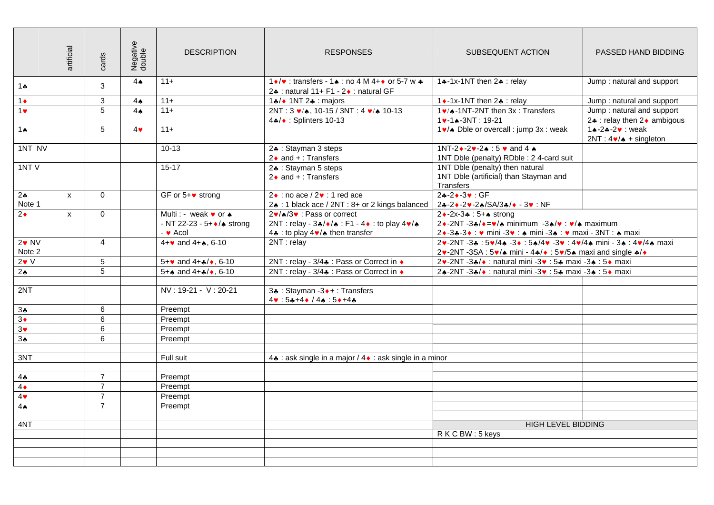|                        | artificial   | cards          | Negative<br>double | <b>DESCRIPTION</b>                                                               | <b>RESPONSES</b>                                                                                                                          | SUBSEQUENT ACTION                                                                                                                                                                                                 | PASSED HAND BIDDING                                                       |
|------------------------|--------------|----------------|--------------------|----------------------------------------------------------------------------------|-------------------------------------------------------------------------------------------------------------------------------------------|-------------------------------------------------------------------------------------------------------------------------------------------------------------------------------------------------------------------|---------------------------------------------------------------------------|
| $1 +$                  |              | 3              | 4A                 | $11+$                                                                            | 1 •/♥ : transfers - 1 ▲ : no 4 M 4 + • or 5-7 w ♣<br>2.4 : natural 11+ F1 - 2. : natural GF                                               | 14-1x-1NT then 24 : relay                                                                                                                                                                                         | Jump: natural and support                                                 |
| $1\bullet$             |              | 3              | 4A                 | $11 +$                                                                           | 1.4/◆ 1NT 2.4 : majors                                                                                                                    | 1 • -1x-1NT then 2. : relay                                                                                                                                                                                       | Jump: natural and support                                                 |
| $1$ v                  |              | 5              | $4\triangle$       | $11 +$                                                                           | 2NT: 3 $\sqrt{4}$ , 10-15 / 3NT: 4 $\sqrt{4}$ 10-13<br>4*/◆ : Splinters 10-13                                                             | 1v/ $\triangle$ -1NT-2NT then 3x : Transfers<br>$1$ v-1 $\star$ -3NT: 19-21                                                                                                                                       | Jump: natural and support<br>2. relay then 2. ambigous                    |
| 1 $\spadesuit$         |              | 5              | $4\bullet$         | $11+$                                                                            |                                                                                                                                           | 1v/ $\triangle$ Dble or overcall : jump 3x : weak                                                                                                                                                                 | 14-24-2 v: weak<br>$2NT: 4\blacktriangleright/\blacktriangle +$ singleton |
| $1NT$ NV               |              |                |                    | $10 - 13$                                                                        | 2. Stayman 3 steps<br>$2 \cdot$ and $+$ : Transfers                                                                                       | 1NT-2 $\bullet$ -2 $\bullet$ -2 $\bullet$ :5 $\bullet$ and 4 $\bullet$<br>1NT Dble (penalty) RDble : 2 4-card suit                                                                                                |                                                                           |
| 1NTV                   |              |                |                    | $15 - 17$                                                                        | 2. Stayman 5 steps<br>$2 \cdot$ and $+$ : Transfers                                                                                       | 1NT Dble (penalty) then natural<br>1NT Dble (artificial) than Stayman and<br>Transfers                                                                                                                            |                                                                           |
| $2\clubsuit$<br>Note 1 | $\mathsf{x}$ | $\Omega$       |                    | GF or $5+\bullet$ strong                                                         | $2\bullet$ : no ace / $2\bullet$ : 1 red ace<br>2↑ : 1 black ace / 2NT : 8+ or 2 kings balanced   2↑ - 2↑ - 2↑ - 2↑ / SA/3↑ / + - 3↑ : NF | $24 - 30 : GF$                                                                                                                                                                                                    |                                                                           |
| $2\bullet$             | X            | $\Omega$       |                    | Multi: - weak v or $\spadesuit$<br>- NT 22-23 - 5+ +/* strong<br>$ \bullet$ Acol | 2v/♠/3v : Pass or correct<br>2NT : relay - 3♣/◆/♠ : F1 - 4◆ : to play 4♥/♠<br>4. to play 4 $\bullet$ / $\bullet$ then transfer            | 2 + -2x-3 + : 5+ + strong<br>$2 \cdot -2NT - 3 + \sqrt{\bullet} = \sqrt{\bullet}$ minimum $-3 + \sqrt{\bullet}$ : $\sqrt{\bullet}$ maximum<br>2• -3+ -3• : • mini -3• : • mini -3• : • maxi - 3NT : • maxi        |                                                                           |
| $2 \cdot N$<br>Note 2  |              | $\overline{4}$ |                    | $4 + \bullet$ and $4 + \bullet$ , 6-10                                           | 2NT: relay                                                                                                                                | $2\cdot 2N$ T -3 $\cdot 5\cdot 44$ -3 $\cdot 5\cdot 44$ -3 $\cdot 5\cdot 5\cdot 4$ -3 $\cdot 1\cdot 4\cdot 4$ mini - 3 $\cdot 1\cdot 4\cdot 4$ maxi<br>2v-2NT -3SA : 5v/♠ mini - 4♣/◆ : 5v/5♠ maxi and single ♣/◆ |                                                                           |
| $2 \cdot V$            |              | 5              |                    | $5 + \bullet$ and $4 + \frac{1}{2} \bullet$ , 6-10                               | 2NT : relay - 3/4♣ : Pass or Correct in ♦                                                                                                 | 2v-2NT-3∗/◆ : natural mini -3v : 5≄ maxi -3▲ : 5◆ maxi                                                                                                                                                            |                                                                           |
| 2 <sub>•</sub>         |              | 5              |                    | $5 + \bullet$ and $4 + \bullet / \bullet$ , 6-10                                 | 2NT : relay - 3/4♣ : Pass or Correct in ♦                                                                                                 | 2↑-2NT -3↑/◆ : natural mini -3♥ : 5↑ maxi -3↑ : 5◆ maxi                                                                                                                                                           |                                                                           |
|                        |              |                |                    |                                                                                  |                                                                                                                                           |                                                                                                                                                                                                                   |                                                                           |
| 2NT                    |              |                |                    | NV: 19-21 - V: 20-21                                                             | 3. Stayman -3. + : Transfers<br>$4 \cdot 5 + 4 \cdot 4$ . $5 \cdot 14$                                                                    |                                                                                                                                                                                                                   |                                                                           |
| $3*$                   |              | 6              |                    | Preempt                                                                          |                                                                                                                                           |                                                                                                                                                                                                                   |                                                                           |
| $3\bullet$             |              | 6              |                    | Preempt                                                                          |                                                                                                                                           |                                                                                                                                                                                                                   |                                                                           |
| $3\bullet$             |              | 6              |                    | Preempt                                                                          |                                                                                                                                           |                                                                                                                                                                                                                   |                                                                           |
| 3 <sub>•</sub>         |              | 6              |                    | Preempt                                                                          |                                                                                                                                           |                                                                                                                                                                                                                   |                                                                           |
|                        |              |                |                    |                                                                                  |                                                                                                                                           |                                                                                                                                                                                                                   |                                                                           |
| 3NT                    |              |                |                    | Full suit                                                                        | 4. ask single in a major / 4. ask single in a minor                                                                                       |                                                                                                                                                                                                                   |                                                                           |
| $4\clubsuit$           |              | $\overline{7}$ |                    | Preempt                                                                          |                                                                                                                                           |                                                                                                                                                                                                                   |                                                                           |
| $4\bullet$             |              | $\overline{7}$ |                    | Preempt                                                                          |                                                                                                                                           |                                                                                                                                                                                                                   |                                                                           |
| $4\bullet$             |              | $\overline{7}$ |                    | Preempt                                                                          |                                                                                                                                           |                                                                                                                                                                                                                   |                                                                           |
| 4A                     |              | $\overline{7}$ |                    | Preempt                                                                          |                                                                                                                                           |                                                                                                                                                                                                                   |                                                                           |
|                        |              |                |                    |                                                                                  |                                                                                                                                           |                                                                                                                                                                                                                   |                                                                           |
| 4NT                    |              |                |                    |                                                                                  |                                                                                                                                           | <b>HIGH LEVEL BIDDING</b>                                                                                                                                                                                         |                                                                           |
|                        |              |                |                    |                                                                                  |                                                                                                                                           | RKCBW: 5 keys                                                                                                                                                                                                     |                                                                           |
|                        |              |                |                    |                                                                                  |                                                                                                                                           |                                                                                                                                                                                                                   |                                                                           |
|                        |              |                |                    |                                                                                  |                                                                                                                                           |                                                                                                                                                                                                                   |                                                                           |
|                        |              |                |                    |                                                                                  |                                                                                                                                           |                                                                                                                                                                                                                   |                                                                           |